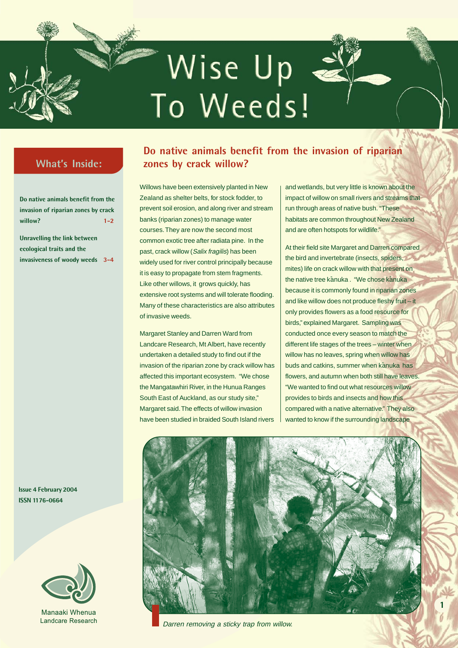# Wise Up -To Weeds!

## **What's Inside:**

| Do native animals benefit from the  |         |
|-------------------------------------|---------|
| invasion of riparian zones by crack |         |
| willow?                             | $1 - 2$ |

**Unravelling the link between ecological traits and the invasiveness of woody weeds 3-4**

**Issue 4 February 2004 ISSN 1176-0664**



Manaaki Whenua Landcare Research

## **Do native animals benefit from the invasion of riparian zones by crack willow?**

Willows have been extensively planted in New Zealand as shelter belts, for stock fodder, to prevent soil erosion, and along river and stream banks (riparian zones) to manage water courses. They are now the second most common exotic tree after radiata pine. In the past, crack willow (Salix fragilis) has been widely used for river control principally because it is easy to propagate from stem fragments. Like other willows, it grows quickly, has extensive root systems and will tolerate flooding. Many of these characteristics are also attributes of invasive weeds.

Margaret Stanley and Darren Ward from Landcare Research, Mt Albert, have recently undertaken a detailed study to find out if the invasion of the riparian zone by crack willow has affected this important ecosystem. "We chose the Mangatawhiri River, in the Hunua Ranges South East of Auckland, as our study site," Margaret said. The effects of willow invasion have been studied in braided South Island rivers

and wetlands, but very little is known about the impact of willow on small rivers and streams that run through areas of native bush. "These habitats are common throughout New Zealand and are often hotspots for wildlife."

At their field site Margaret and Darren compared the bird and invertebrate (insects, spiders, mites) life on crack willow with that present on the native tree kanuka . "We chose kanuka because it is commonly found in riparian zones and like willow does not produce fleshy fruit – it only provides flowers as a food resource for birds," explained Margaret. Sampling was conducted once every season to match the different life stages of the trees – winter when willow has no leaves, spring when willow has buds and catkins, summer when kanuka has flowers, and autumn when both still have leaves. "We wanted to find out what resources willow provides to birds and insects and how this compared with a native alternative." They also wanted to know if the surrounding landscape

**1**



Darren removing a sticky trap from willow.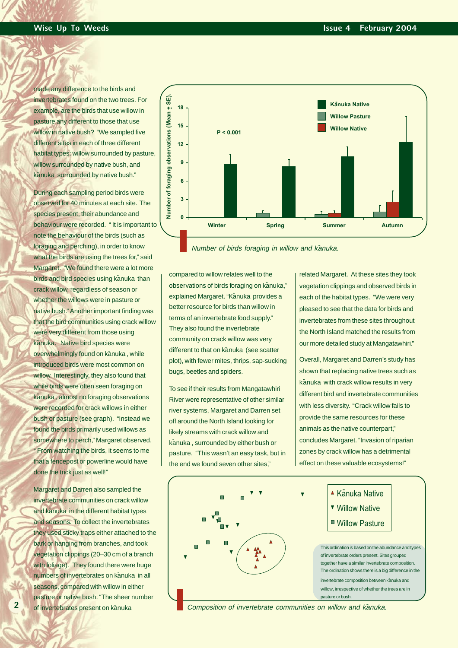made any difference to the birds and invertebrates found on the two trees. For example, are the birds that use willow in pasture any different to those that use willow in native bush? "We sampled five different sites in each of three different habitat types: willow surrounded by pasture, willow surrounded by native bush, and kanuka surrounded by native bush."

During each sampling period birds were observed for 40 minutes at each site. The species present, their abundance and behaviour were recorded. " It is important to note the behaviour of the birds (such as foraging and perching), in order to know what the birds are using the trees for," said Margaret. "We found there were a lot more birds and bird species using kanuka than crack willow, regardless of season or whether the willows were in pasture or native bush." Another important finding was that the bird communities using crack willow were very different from those using kanuka. Native bird species were overwhelmingly found on kanuka, while introduced birds were most common on willow. Interestingly, they also found that while birds were often seen foraging on k - anuka , almost no foraging observations were recorded for crack willows in either bush or pasture (see graph). "Instead we found the birds primarily used willows as somewhere to perch," Margaret observed. " From watching the birds, it seems to me that a fencepost or powerline would have done the trick just as well!"

Margaret and Darren also sampled the invertebrate communities on crack willow and kanuka in the different habitat types and seasons. To collect the invertebrates they used sticky traps either attached to the bark or hanging from branches, and took vegetation clippings (20–30 cm of a branch with foliage). They found there were huge numbers of invertebrates on kanuka in all seasons, compared with willow in either pasture or native bush. "The sheer number of invertebrates present on kanuka

**2**



Number of birds foraging in willow and kānuka.

compared to willow relates well to the observations of birds foraging on kanuka," explained Margaret. "Kanuka provides a better resource for birds than willow in terms of an invertebrate food supply." They also found the invertebrate community on crack willow was very different to that on kanuka (see scatter plot), with fewer mites, thrips, sap-sucking bugs, beetles and spiders.

To see if their results from Mangatawhiri River were representative of other similar river systems, Margaret and Darren set off around the North Island looking for likely streams with crack willow and kanuka , surrounded by either bush or pasture. "This wasn't an easy task, but in the end we found seven other sites,"

related Margaret. At these sites they took vegetation clippings and observed birds in each of the habitat types. "We were very pleased to see that the data for birds and invertebrates from these sites throughout the North Island matched the results from our more detailed study at Mangatawhiri."

Overall, Margaret and Darren's study has shown that replacing native trees such as kanuka with crack willow results in very different bird and invertebrate communities with less diversity. "Crack willow fails to provide the same resources for these animals as the native counterpart," concludes Margaret. "Invasion of riparian zones by crack willow has a detrimental effect on these valuable ecosystems!"



Composition of invertebrate communities on willow and kanuka.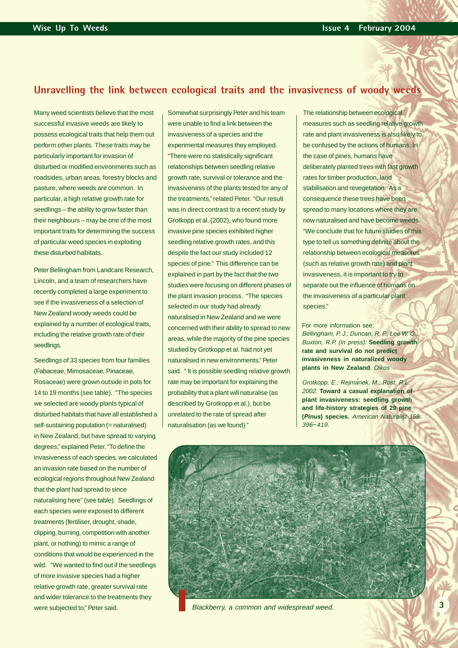#### **Unravelling the link between ecological traits and the invasiveness of woody weeds**

Many weed scientists believe that the most successful invasive weeds are likely to possess ecological traits that help them out perform other plants. These traits may be particularly important for invasion of disturbed or modified environments such as roadsides, urban areas, forestry blocks and pasture, where weeds are common. In particular, a high relative growth rate for seedlings – the ability to grow faster than their neighbours – may be one of the most important traits for determining the success of particular weed species in exploiting these disturbed habitats.

Peter Bellingham from Landcare Research, Lincoln, and a team of researchers have recently completed a large experiment to see if the invasiveness of a selection of New Zealand woody weeds could be explained by a number of ecological traits, including the relative growth rate of their seedlings.

Seedlings of 33 species from four families (Fabaceae, Mimosaceae, Pinaceae, Rosaceae) were grown outside in pots for 14 to 19 months (see table). "The species we selected are woody plants typical of disturbed habitats that have all established a self-sustaining population (= naturalised) in New Zealand, but have spread to varying degrees," explained Peter. "To define the invasiveness of each species, we calculated an invasion rate based on the number of ecological regions throughout New Zealand that the plant had spread to since naturalising here" (see table). Seedlings of each species were exposed to different treatments (fertiliser, drought, shade, clipping, burning, competition with another plant, or nothing) to mimic a range of conditions that would be experienced in the wild. "We wanted to find out if the seedlings of more invasive species had a higher relative growth rate, greater survival rate and wider tolerance to the treatments they were subjected to," Peter said.

Somewhat surprisingly Peter and his team were unable to find a link between the invasiveness of a species and the experimental measures they employed. "There were no statistically significant relationships between seedling relative growth rate, survival or tolerance and the invasiveness of the plants tested for any of the treatments," related Peter. "Our result was in direct contrast to a recent study by Grotkopp et al. (2002), who found more invasive pine species exhibited higher seedling relative growth rates, and this despite the fact our study included 12 species of pine." This difference can be explained in part by the fact that the two studies were focusing on different phases of the plant invasion process. "The species selected in our study had already naturalised in New Zealand and we were concerned with their ability to spread to new areas, while the majority of the pine species studied by Grotkopp et al. had not yet naturalised in new environments," Peter said. " It is possible seedling relative growth rate may be important for explaining the probability that a plant will naturalise (as described by Grotkopp et al.), but be unrelated to the rate of spread after naturalisation (as we found)."

The relationship between ecological measures such as seedling relative growth rate and plant invasiveness is also likely to be confused by the actions of humans. In the case of pines, humans have deliberately planted trees with fast growth rates for timber production, land stabilisation and revegetation. As a consequence these trees have been spread to many locations where they are now naturalised and have become weeds. "We conclude that for future studies of this type to tell us something definite about the relationship between ecological measures (such as relative growth rate) and plant invasiveness, it is important to try to separate out the influence of humans on the invasiveness of a particular plant species."

For more information see: Bellingham, P. J.; Duncan, R. P.; Lee W. G.; Buxton, R.P. (in press): **Seedling growth rate and survival do not predict invasiveness in naturalized woody plants in New Zealand**. Oikos

Grotkopp, E.; Rejmanek, M.; Rost, R.L. 2002: **Toward a casual explanation of plant invasiveness: seedling growth and life-history strategies of 29 pine (***Pinus***) species.** American Naturalist 159: 396*\_*419.



Blackberry, a common and widespread weed.